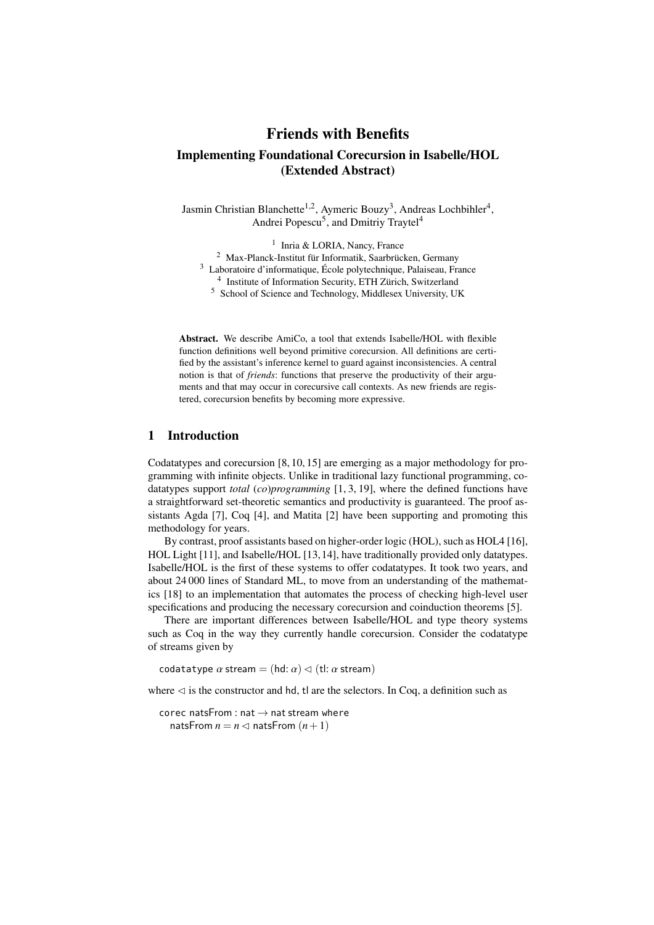## Friends with Benefits Implementing Foundational Corecursion in Isabelle/HOL (Extended Abstract)

Jasmin Christian Blanchette<sup>1,2</sup>, Aymeric Bouzy<sup>3</sup>, Andreas Lochbihler<sup>4</sup>, Andrei Popescu<sup>5</sup>, and Dmitriy Traytel<sup>4</sup>

<sup>1</sup> Inria & LORIA, Nancy, France <sup>2</sup> Max-Planck-Institut für Informatik, Saarbrücken, Germany <sup>3</sup> Laboratoire d'informatique, École polytechnique, Palaiseau, France <sup>4</sup> Institute of Information Security, ETH Zürich, Switzerland <sup>5</sup> School of Science and Technology, Middlesex University, UK

Abstract. We describe AmiCo, a tool that extends Isabelle/HOL with flexible function definitions well beyond primitive corecursion. All definitions are certified by the assistant's inference kernel to guard against inconsistencies. A central notion is that of *friends*: functions that preserve the productivity of their arguments and that may occur in corecursive call contexts. As new friends are registered, corecursion benefits by becoming more expressive.

## 1 Introduction

Codatatypes and corecursion [\[8,](#page-2-0) [10,](#page-3-0) [15\]](#page-3-1) are emerging as a major methodology for programming with infinite objects. Unlike in traditional lazy functional programming, codatatypes support *total* (*co*)*programming* [\[1,](#page-2-1) [3,](#page-2-2) [19\]](#page-3-2), where the defined functions have a straightforward set-theoretic semantics and productivity is guaranteed. The proof assistants Agda [\[7\]](#page-2-3), Coq [\[4\]](#page-2-4), and Matita [\[2\]](#page-2-5) have been supporting and promoting this methodology for years.

By contrast, proof assistants based on higher-order logic (HOL), such as HOL4 [\[16\]](#page-3-3), HOL Light [\[11\]](#page-3-4), and Isabelle/HOL [\[13,](#page-3-5) [14\]](#page-3-6), have traditionally provided only datatypes. Isabelle/HOL is the first of these systems to offer codatatypes. It took two years, and about 24 000 lines of Standard ML, to move from an understanding of the mathematics [\[18\]](#page-3-7) to an implementation that automates the process of checking high-level user specifications and producing the necessary corecursion and coinduction theorems [\[5\]](#page-2-6).

There are important differences between Isabelle/HOL and type theory systems such as Coq in the way they currently handle corecursion. Consider the codatatype of streams given by

codatatype  $\alpha$  stream = (hd:  $\alpha$ )  $\lhd$  (tl:  $\alpha$  stream)

where  $\lhd$  is the constructor and hd, tl are the selectors. In Coq, a definition such as

corec natsFrom : nat  $\rightarrow$  nat stream where natsFrom  $n = n \leq n$  natsFrom  $(n+1)$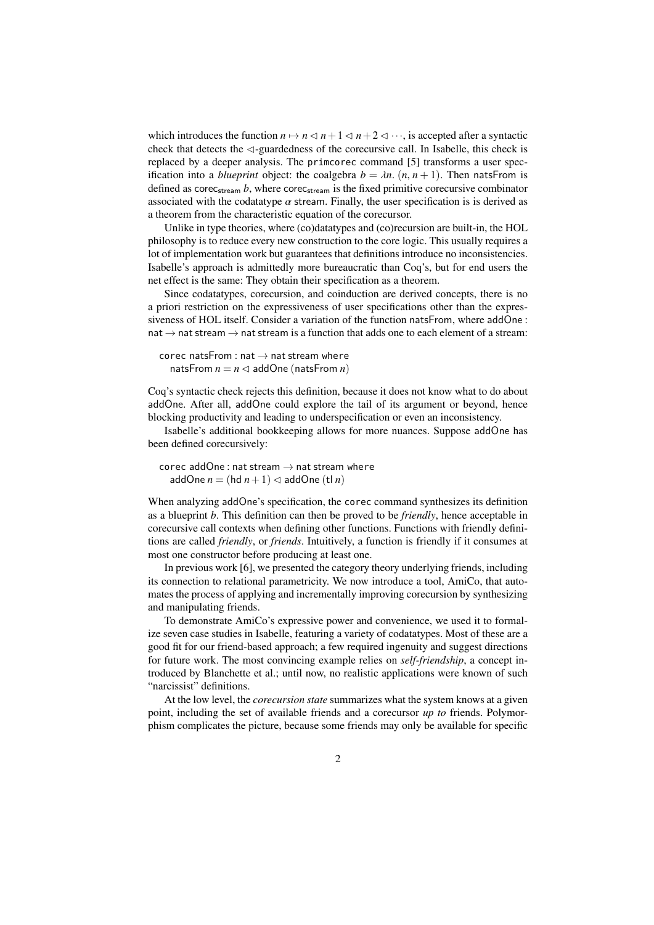which introduces the function  $n \mapsto n \leq n+1 \leq n+2 \leq \cdots$ , is accepted after a syntactic check that detects the  $\triangleleft$ -guardedness of the corecursive call. In Isabelle, this check is replaced by a deeper analysis. The primcorec command [\[5\]](#page-2-6) transforms a user specification into a *blueprint* object: the coalgebra  $b = \lambda n$ .  $(n, n + 1)$ . Then natsFrom is defined as corec<sub>stream</sub>  $b$ , where corec<sub>stream</sub> is the fixed primitive corecursive combinator associated with the codatatype  $\alpha$  stream. Finally, the user specification is is derived as a theorem from the characteristic equation of the corecursor.

Unlike in type theories, where (co)datatypes and (co)recursion are built-in, the HOL philosophy is to reduce every new construction to the core logic. This usually requires a lot of implementation work but guarantees that definitions introduce no inconsistencies. Isabelle's approach is admittedly more bureaucratic than Coq's, but for end users the net effect is the same: They obtain their specification as a theorem.

Since codatatypes, corecursion, and coinduction are derived concepts, there is no a priori restriction on the expressiveness of user specifications other than the expressiveness of HOL itself. Consider a variation of the function natsFrom, where addOne :  $nat \rightarrow nat$  stream  $\rightarrow$  nat stream is a function that adds one to each element of a stream:

```
corec natsFrom : nat \rightarrow nat stream where
natsFrom n = n \leq 1 addOne (natsFrom n)
```
Coq's syntactic check rejects this definition, because it does not know what to do about addOne. After all, addOne could explore the tail of its argument or beyond, hence blocking productivity and leading to underspecification or even an inconsistency.

Isabelle's additional bookkeeping allows for more nuances. Suppose addOne has been defined corecursively:

```
corec addOne : nat stream \rightarrow nat stream where
addOne n = (hd n + 1) \triangleleft addOne (tl n)
```
When analyzing addOne's specification, the corec command synthesizes its definition as a blueprint *b*. This definition can then be proved to be *friendly*, hence acceptable in corecursive call contexts when defining other functions. Functions with friendly definitions are called *friendly*, or *friends*. Intuitively, a function is friendly if it consumes at most one constructor before producing at least one.

In previous work [\[6\]](#page-2-7), we presented the category theory underlying friends, including its connection to relational parametricity. We now introduce a tool, AmiCo, that automates the process of applying and incrementally improving corecursion by synthesizing and manipulating friends.

To demonstrate AmiCo's expressive power and convenience, we used it to formalize seven case studies in Isabelle, featuring a variety of codatatypes. Most of these are a good fit for our friend-based approach; a few required ingenuity and suggest directions for future work. The most convincing example relies on *self-friendship*, a concept introduced by Blanchette et al.; until now, no realistic applications were known of such "narcissist" definitions.

At the low level, the *corecursion state* summarizes what the system knows at a given point, including the set of available friends and a corecursor *up to* friends. Polymorphism complicates the picture, because some friends may only be available for specific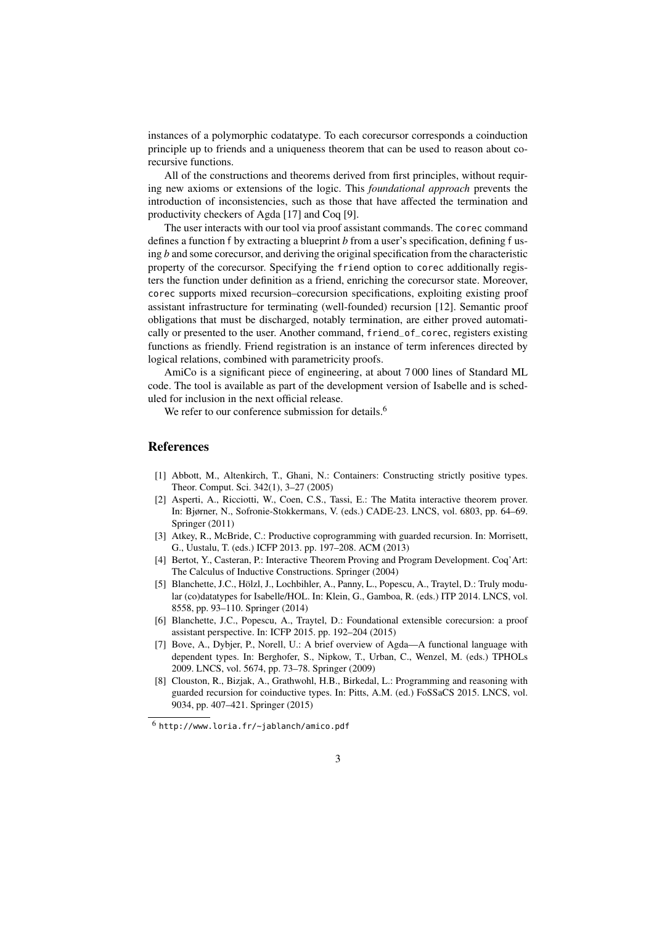instances of a polymorphic codatatype. To each corecursor corresponds a coinduction principle up to friends and a uniqueness theorem that can be used to reason about corecursive functions.

All of the constructions and theorems derived from first principles, without requiring new axioms or extensions of the logic. This *foundational approach* prevents the introduction of inconsistencies, such as those that have affected the termination and productivity checkers of Agda [\[17\]](#page-3-8) and Coq [\[9\]](#page-3-9).

The user interacts with our tool via proof assistant commands. The corec command defines a function f by extracting a blueprint *b* from a user's specification, defining f using *b* and some corecursor, and deriving the original specification from the characteristic property of the corecursor. Specifying the friend option to corec additionally registers the function under definition as a friend, enriching the corecursor state. Moreover, corec supports mixed recursion–corecursion specifications, exploiting existing proof assistant infrastructure for terminating (well-founded) recursion [\[12\]](#page-3-10). Semantic proof obligations that must be discharged, notably termination, are either proved automatically or presented to the user. Another command, friend\_of\_corec, registers existing functions as friendly. Friend registration is an instance of term inferences directed by logical relations, combined with parametricity proofs.

AmiCo is a significant piece of engineering, at about 7 000 lines of Standard ML code. The tool is available as part of the development version of Isabelle and is scheduled for inclusion in the next official release.

We refer to our conference submission for details.<sup>[6](#page-2-8)</sup>

## References

- <span id="page-2-1"></span>[1] Abbott, M., Altenkirch, T., Ghani, N.: Containers: Constructing strictly positive types. Theor. Comput. Sci. 342(1), 3–27 (2005)
- <span id="page-2-5"></span>[2] Asperti, A., Ricciotti, W., Coen, C.S., Tassi, E.: The Matita interactive theorem prover. In: Bjørner, N., Sofronie-Stokkermans, V. (eds.) CADE-23. LNCS, vol. 6803, pp. 64–69. Springer (2011)
- <span id="page-2-2"></span>[3] Atkey, R., McBride, C.: Productive coprogramming with guarded recursion. In: Morrisett, G., Uustalu, T. (eds.) ICFP 2013. pp. 197–208. ACM (2013)
- <span id="page-2-4"></span>[4] Bertot, Y., Casteran, P.: Interactive Theorem Proving and Program Development. Coq'Art: The Calculus of Inductive Constructions. Springer (2004)
- <span id="page-2-6"></span>[5] Blanchette, J.C., Hölzl, J., Lochbihler, A., Panny, L., Popescu, A., Traytel, D.: Truly modular (co)datatypes for Isabelle/HOL. In: Klein, G., Gamboa, R. (eds.) ITP 2014. LNCS, vol. 8558, pp. 93–110. Springer (2014)
- <span id="page-2-7"></span>[6] Blanchette, J.C., Popescu, A., Traytel, D.: Foundational extensible corecursion: a proof assistant perspective. In: ICFP 2015. pp. 192–204 (2015)
- <span id="page-2-3"></span>[7] Bove, A., Dybjer, P., Norell, U.: A brief overview of Agda—A functional language with dependent types. In: Berghofer, S., Nipkow, T., Urban, C., Wenzel, M. (eds.) TPHOLs 2009. LNCS, vol. 5674, pp. 73–78. Springer (2009)
- <span id="page-2-0"></span>[8] Clouston, R., Bizjak, A., Grathwohl, H.B., Birkedal, L.: Programming and reasoning with guarded recursion for coinductive types. In: Pitts, A.M. (ed.) FoSSaCS 2015. LNCS, vol. 9034, pp. 407–421. Springer (2015)

<span id="page-2-8"></span><sup>6</sup> <http://www.loria.fr/~jablanch/amico.pdf>